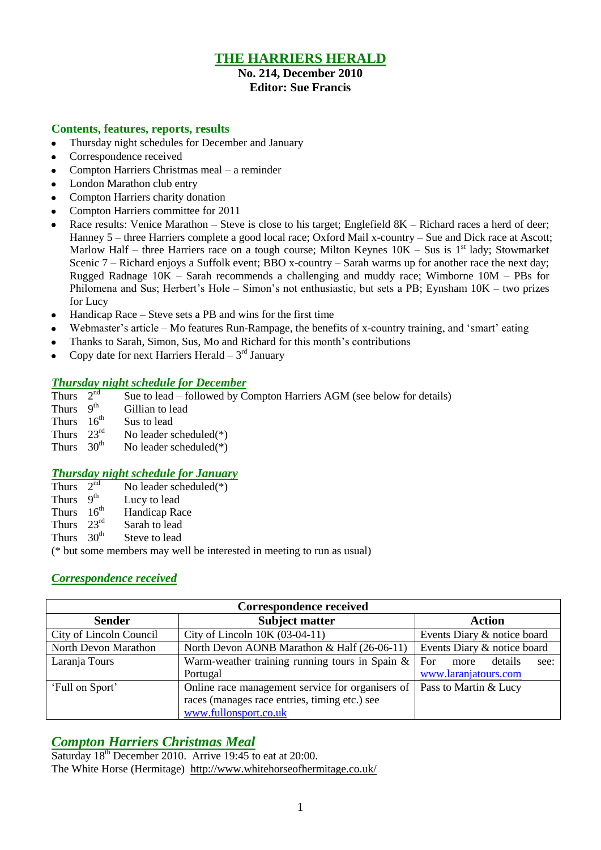# **THE HARRIERS HERALD**

## **No. 214, December 2010 Editor: Sue Francis**

#### **Contents, features, reports, results**

- Thursday night schedules for December and January  $\bullet$
- Correspondence received
- Compton Harriers Christmas meal a reminder  $\bullet$
- London Marathon club entry
- Compton Harriers charity donation
- Compton Harriers committee for 2011
- Race results: Venice Marathon Steve is close to his target; Englefield 8K Richard races a herd of deer; Hanney 5 – three Harriers complete a good local race; Oxford Mail x-country – Sue and Dick race at Ascott; Marlow Half – three Harriers race on a tough course; Milton Keynes  $10K - S$ us is 1<sup>st</sup> lady; Stowmarket Scenic 7 – Richard enjoys a Suffolk event; BBO x-country – Sarah warms up for another race the next day; Rugged Radnage 10K – Sarah recommends a challenging and muddy race; Wimborne 10M – PBs for Philomena and Sus; Herbert's Hole – Simon's not enthusiastic, but sets a PB; Eynsham 10K – two prizes for Lucy
- Handicap Race Steve sets a PB and wins for the first time  $\bullet$
- Webmaster's article Mo features Run-Rampage, the benefits of x-country training, and 'smart' eating
- Thanks to Sarah, Simon, Sus, Mo and Richard for this month"s contributions
- Copy date for next Harriers Herald  $-3<sup>rd</sup>$  January  $\bullet$

### *Thursday night schedule for December*

| Thurs                  | 2 <sup>nd</sup> | Sue to lead – followed by Compton Harriers AGM (see below for details) |
|------------------------|-----------------|------------------------------------------------------------------------|
| Thurs $9th$            |                 | Gillian to lead                                                        |
| Thurs $16th$           |                 | Sus to lead                                                            |
| Thurs $23^{\text{rd}}$ |                 | No leader scheduled $(*)$                                              |
| Thurs $30th$           |                 | No leader scheduled $(*)$                                              |
|                        |                 |                                                                        |

### *Thursday night schedule for January*

- Thurs  $2<sup>nd</sup>$ No leader scheduled $(*)$
- Thurs  $9<sup>th</sup>$ Lucy to lead
- Thurs  $16^{th}$ Handicap Race
- Thurs 23rd Sarah to lead
- Thurs 30<sup>th</sup> Steve to lead

(\* but some members may well be interested in meeting to run as usual)

### *Correspondence received*

| Correspondence received |                                                   |                                |  |  |
|-------------------------|---------------------------------------------------|--------------------------------|--|--|
| <b>Sender</b>           | <b>Subject matter</b>                             | <b>Action</b>                  |  |  |
| City of Lincoln Council | City of Lincoln 10K (03-04-11)                    | Events Diary & notice board    |  |  |
| North Devon Marathon    | North Devon AONB Marathon & Half (26-06-11)       | Events Diary & notice board    |  |  |
| Laranja Tours           | Warm-weather training running tours in Spain $\&$ | For<br>details<br>see:<br>more |  |  |
|                         | Portugal                                          | www.laranjatours.com           |  |  |
| 'Full on Sport'         | Online race management service for organisers of  | Pass to Martin & Lucy          |  |  |
|                         | races (manages race entries, timing etc.) see     |                                |  |  |
|                         | www.fullonsport.co.uk                             |                                |  |  |

# *Compton Harriers Christmas Meal*

Saturday  $18<sup>th</sup>$  December 2010. Arrive 19:45 to eat at 20:00. The White Horse (Hermitage) <http://www.whitehorseofhermitage.co.uk/>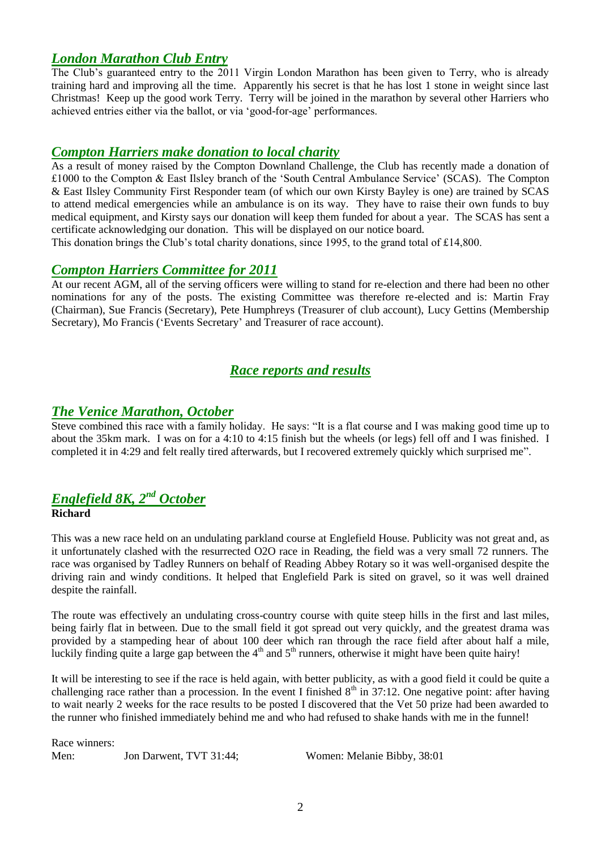# *London Marathon Club Entry*

The Club's guaranteed entry to the 2011 Virgin London Marathon has been given to Terry, who is already training hard and improving all the time. Apparently his secret is that he has lost 1 stone in weight since last Christmas! Keep up the good work Terry. Terry will be joined in the marathon by several other Harriers who achieved entries either via the ballot, or via "good-for-age" performances.

### *Compton Harriers make donation to local charity*

As a result of money raised by the Compton Downland Challenge, the Club has recently made a donation of £1000 to the Compton & East Ilsley branch of the "South Central Ambulance Service" (SCAS). The Compton & East Ilsley Community First Responder team (of which our own Kirsty Bayley is one) are trained by SCAS to attend medical emergencies while an ambulance is on its way. They have to raise their own funds to buy medical equipment, and Kirsty says our donation will keep them funded for about a year. The SCAS has sent a certificate acknowledging our donation. This will be displayed on our notice board.

This donation brings the Club's total charity donations, since 1995, to the grand total of £14,800.

### *Compton Harriers Committee for 2011*

At our recent AGM, all of the serving officers were willing to stand for re-election and there had been no other nominations for any of the posts. The existing Committee was therefore re-elected and is: Martin Fray (Chairman), Sue Francis (Secretary), Pete Humphreys (Treasurer of club account), Lucy Gettins (Membership Secretary), Mo Francis ('Events Secretary' and Treasurer of race account).

# *Race reports and results*

### *The Venice Marathon, October*

Steve combined this race with a family holiday. He says: "It is a flat course and I was making good time up to about the 35km mark. I was on for a 4:10 to 4:15 finish but the wheels (or legs) fell off and I was finished. I completed it in 4:29 and felt really tired afterwards, but I recovered extremely quickly which surprised me".

#### *Englefield 8K, 2nd October* **Richard**

This was a new race held on an undulating parkland course at Englefield House. Publicity was not great and, as it unfortunately clashed with the resurrected O2O race in Reading, the field was a very small 72 runners. The race was organised by Tadley Runners on behalf of Reading Abbey Rotary so it was well-organised despite the driving rain and windy conditions. It helped that Englefield Park is sited on gravel, so it was well drained despite the rainfall.

The route was effectively an undulating cross-country course with quite steep hills in the first and last miles, being fairly flat in between. Due to the small field it got spread out very quickly, and the greatest drama was provided by a stampeding hear of about 100 deer which ran through the race field after about half a mile, luckily finding quite a large gap between the  $4<sup>th</sup>$  and  $5<sup>th</sup>$  runners, otherwise it might have been quite hairy!

It will be interesting to see if the race is held again, with better publicity, as with a good field it could be quite a challenging race rather than a procession. In the event I finished  $8<sup>th</sup>$  in 37:12. One negative point: after having to wait nearly 2 weeks for the race results to be posted I discovered that the Vet 50 prize had been awarded to the runner who finished immediately behind me and who had refused to shake hands with me in the funnel!

Race winners:

Men: Jon Darwent, TVT 31:44; Women: Melanie Bibby, 38:01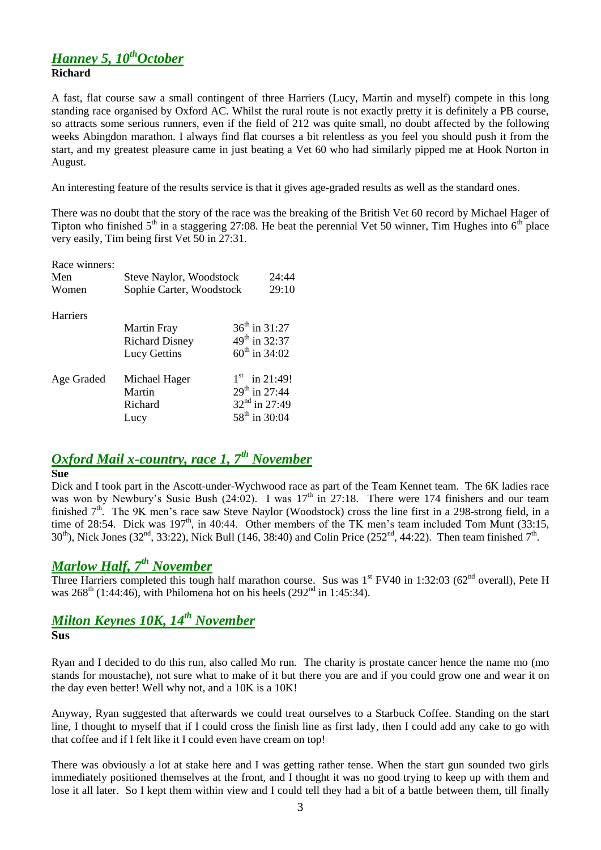# *Hanney 5, 10thOctober* **Richard**

A fast, flat course saw a small contingent of three Harriers (Lucy, Martin and myself) compete in this long standing race organised by Oxford AC. Whilst the rural route is not exactly pretty it is definitely a PB course, so attracts some serious runners, even if the field of 212 was quite small, no doubt affected by the following weeks Abingdon marathon. I always find flat courses a bit relentless as you feel you should push it from the start, and my greatest pleasure came in just beating a Vet 60 who had similarly pipped me at Hook Norton in August.

An interesting feature of the results service is that it gives age-graded results as well as the standard ones.

There was no doubt that the story of the race was the breaking of the British Vet 60 record by Michael Hager of Tipton who finished  $5<sup>th</sup>$  in a staggering 27:08. He beat the perennial Vet 50 winner, Tim Hughes into  $6<sup>th</sup>$  place very easily, Tim being first Vet 50 in 27:31.

| Race winners:<br>Men<br>Women | Steve Naylor, Woodstock<br>Sophie Carter, Woodstock |                           | 24:44<br>29:10  |
|-------------------------------|-----------------------------------------------------|---------------------------|-----------------|
| <b>Harriers</b>               |                                                     |                           |                 |
|                               | <b>Martin Fray</b>                                  | $36^{th}$ in 31:27        |                 |
|                               | <b>Richard Disney</b>                               | $49^{\text{th}}$ in 32:37 |                 |
|                               | <b>Lucy Gettins</b>                                 | $60^{th}$ in 34:02        |                 |
| Age Graded                    | Michael Hager                                       |                           | $1st$ in 21:49! |
|                               | Martin                                              | $29^{th}$ in 27:44        |                 |
|                               | Richard                                             | 32 <sup>nd</sup> in 27:49 |                 |
|                               | Lucy                                                | 58 <sup>th</sup> in 30:04 |                 |

# *Oxford Mail x-country, race 1, 7th November*

#### **Sue**

Dick and I took part in the Ascott-under-Wychwood race as part of the Team Kennet team. The 6K ladies race was won by Newbury's Susie Bush (24:02). I was  $17<sup>th</sup>$  in 27:18. There were 174 finishers and our team finished  $7<sup>th</sup>$ . The 9K men's race saw Steve Naylor (Woodstock) cross the line first in a 298-strong field, in a time of 28:54. Dick was  $197<sup>th</sup>$ , in 40:44. Other members of the TK men's team included Tom Munt (33:15,  $30<sup>th</sup>$ ), Nick Jones (32<sup>nd</sup>, 33:22), Nick Bull (146, 38:40) and Colin Price (252<sup>nd</sup>, 44:22). Then team finished 7<sup>th</sup>.

# *Marlow Half, 7th November*

Three Harriers completed this tough half marathon course. Sus was  $1<sup>st</sup>$  FV40 in 1:32:03 (62<sup>nd</sup> overall), Pete H was  $268^{\text{th}}$  (1:44:46), with Philomena hot on his heels (292<sup>nd</sup> in 1:45:34).

# *Milton Keynes 10K, 14th November*

## **Sus**

Ryan and I decided to do this run, also called Mo run. The charity is prostate cancer hence the name mo (mo stands for moustache), not sure what to make of it but there you are and if you could grow one and wear it on the day even better! Well why not, and a 10K is a 10K!

Anyway, Ryan suggested that afterwards we could treat ourselves to a Starbuck Coffee. Standing on the start line, I thought to myself that if I could cross the finish line as first lady, then I could add any cake to go with that coffee and if I felt like it I could even have cream on top!

There was obviously a lot at stake here and I was getting rather tense. When the start gun sounded two girls immediately positioned themselves at the front, and I thought it was no good trying to keep up with them and lose it all later. So I kept them within view and I could tell they had a bit of a battle between them, till finally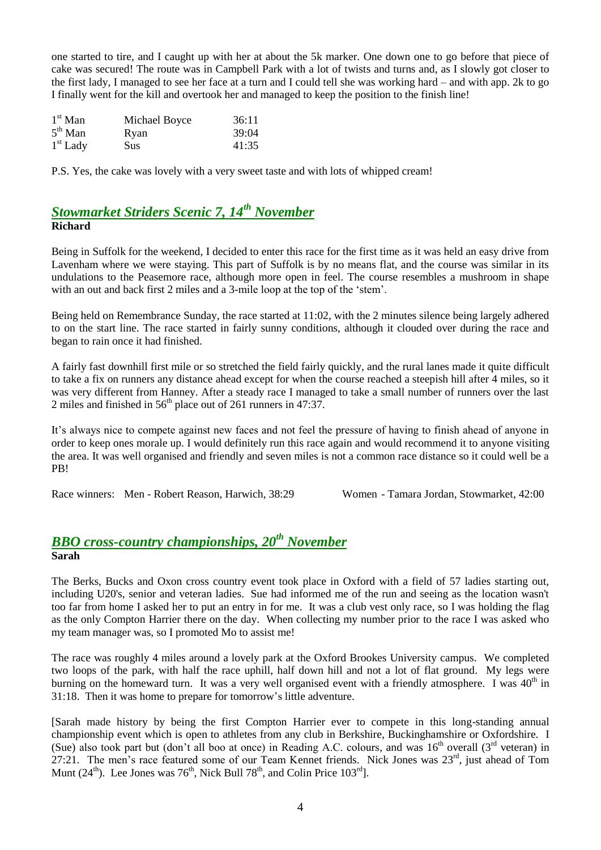one started to tire, and I caught up with her at about the 5k marker. One down one to go before that piece of cake was secured! The route was in Campbell Park with a lot of twists and turns and, as I slowly got closer to the first lady, I managed to see her face at a turn and I could tell she was working hard – and with app. 2k to go I finally went for the kill and overtook her and managed to keep the position to the finish line!

| $1st$ Man  | Michael Boyce | 36:11 |
|------------|---------------|-------|
| $5th$ Man  | Ryan          | 39:04 |
| $1st$ Lady | <b>Sus</b>    | 41:35 |

P.S. Yes, the cake was lovely with a very sweet taste and with lots of whipped cream!

# *Stowmarket Striders Scenic 7, 14th November* **Richard**

Being in Suffolk for the weekend, I decided to enter this race for the first time as it was held an easy drive from Lavenham where we were staying. This part of Suffolk is by no means flat, and the course was similar in its undulations to the Peasemore race, although more open in feel. The course resembles a mushroom in shape with an out and back first 2 miles and a 3-mile loop at the top of the 'stem'.

Being held on Remembrance Sunday, the race started at 11:02, with the 2 minutes silence being largely adhered to on the start line. The race started in fairly sunny conditions, although it clouded over during the race and began to rain once it had finished.

A fairly fast downhill first mile or so stretched the field fairly quickly, and the rural lanes made it quite difficult to take a fix on runners any distance ahead except for when the course reached a steepish hill after 4 miles, so it was very different from Hanney. After a steady race I managed to take a small number of runners over the last 2 miles and finished in  $56<sup>th</sup>$  place out of 261 runners in 47:37.

It"s always nice to compete against new faces and not feel the pressure of having to finish ahead of anyone in order to keep ones morale up. I would definitely run this race again and would recommend it to anyone visiting the area. It was well organised and friendly and seven miles is not a common race distance so it could well be a PB!

Race winners: Men - Robert Reason, Harwich, 38:29 Women - Tamara Jordan, Stowmarket, 42:00

# *BBO cross-country championships, 20th November* **Sarah**

The Berks, Bucks and Oxon cross country event took place in Oxford with a field of 57 ladies starting out, including U20's, senior and veteran ladies. Sue had informed me of the run and seeing as the location wasn't too far from home I asked her to put an entry in for me. It was a club vest only race, so I was holding the flag as the only Compton Harrier there on the day. When collecting my number prior to the race I was asked who my team manager was, so I promoted Mo to assist me!

The race was roughly 4 miles around a lovely park at the Oxford Brookes University campus. We completed two loops of the park, with half the race uphill, half down hill and not a lot of flat ground. My legs were burning on the homeward turn. It was a very well organised event with a friendly atmosphere. I was  $40<sup>th</sup>$  in 31:18. Then it was home to prepare for tomorrow"s little adventure.

[Sarah made history by being the first Compton Harrier ever to compete in this long-standing annual championship event which is open to athletes from any club in Berkshire, Buckinghamshire or Oxfordshire. I (Sue) also took part but (don't all boo at once) in Reading A.C. colours, and was  $16<sup>th</sup>$  overall (3<sup>rd</sup> veteran) in 27:21. The men"s race featured some of our Team Kennet friends. Nick Jones was 23rd, just ahead of Tom Munt ( $24<sup>th</sup>$ ). Lee Jones was  $76<sup>th</sup>$ , Nick Bull  $78<sup>th</sup>$ , and Colin Price  $103<sup>rd</sup>$ .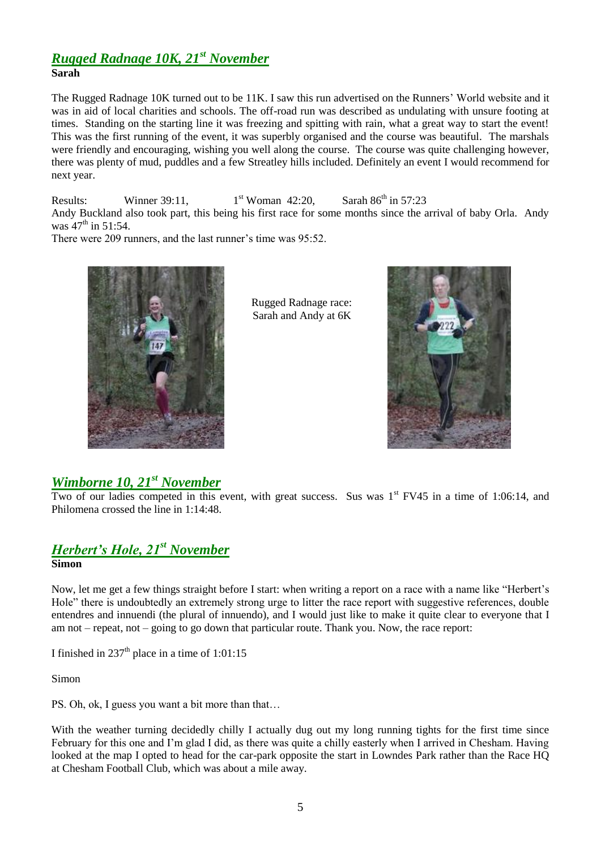## *Rugged Radnage 10K, 21st November* **Sarah**

The Rugged Radnage 10K turned out to be 11K. I saw this run advertised on the Runners" World website and it was in aid of local charities and schools. The off-road run was described as undulating with unsure footing at times. Standing on the starting line it was freezing and spitting with rain, what a great way to start the event! This was the first running of the event, it was superbly organised and the course was beautiful. The marshals were friendly and encouraging, wishing you well along the course. The course was quite challenging however, there was plenty of mud, puddles and a few Streatley hills included. Definitely an event I would recommend for next year.

Results: Winner 39:11,  $1<sup>st</sup> Woman$  42:20, Sarah 86<sup>th</sup> in 57:23 Andy Buckland also took part, this being his first race for some months since the arrival of baby Orla. Andy was  $47^{th}$  in 51:54.

There were 209 runners, and the last runner's time was 95:52.



 Rugged Radnage race: Sarah and Andy at 6K



# *Wimborne 10, 21st November*

Two of our ladies competed in this event, with great success. Sus was  $1<sup>st</sup>$  FV45 in a time of 1:06:14, and Philomena crossed the line in 1:14:48.

# *Herbert's Hole, 21st November* **Simon**

Now, let me get a few things straight before I start: when writing a report on a race with a name like "Herbert"s Hole" there is undoubtedly an extremely strong urge to litter the race report with suggestive references, double entendres and innuendi (the plural of innuendo), and I would just like to make it quite clear to everyone that I am not – repeat, not – going to go down that particular route. Thank you. Now, the race report:

I finished in  $237<sup>th</sup>$  place in a time of 1:01:15

Simon

PS. Oh, ok, I guess you want a bit more than that…

With the weather turning decidedly chilly I actually dug out my long running tights for the first time since February for this one and I"m glad I did, as there was quite a chilly easterly when I arrived in Chesham. Having looked at the map I opted to head for the car-park opposite the start in Lowndes Park rather than the Race HQ at Chesham Football Club, which was about a mile away.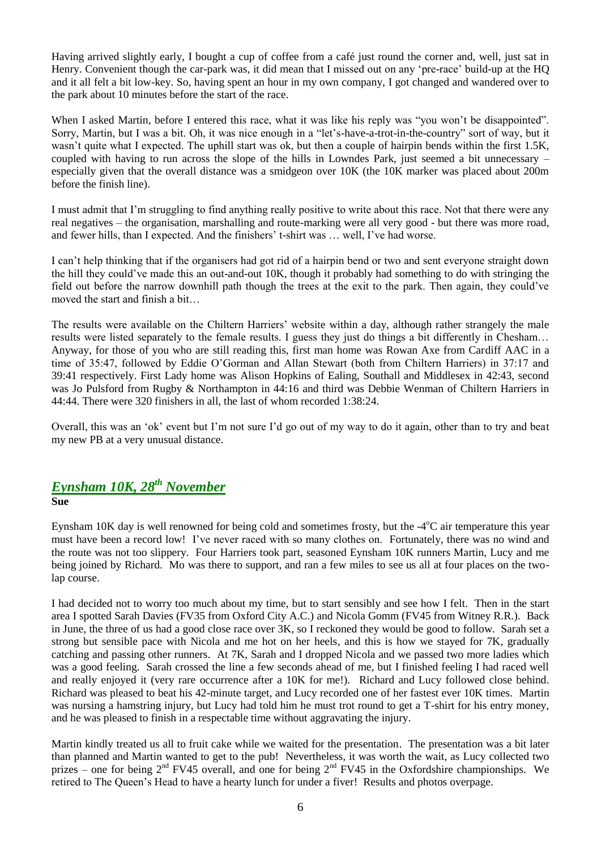Having arrived slightly early, I bought a cup of coffee from a café just round the corner and, well, just sat in Henry. Convenient though the car-park was, it did mean that I missed out on any "pre-race" build-up at the HQ and it all felt a bit low-key. So, having spent an hour in my own company, I got changed and wandered over to the park about 10 minutes before the start of the race.

When I asked Martin, before I entered this race, what it was like his reply was "you won't be disappointed". Sorry, Martin, but I was a bit. Oh, it was nice enough in a "let"s-have-a-trot-in-the-country" sort of way, but it wasn't quite what I expected. The uphill start was ok, but then a couple of hairpin bends within the first 1.5K, coupled with having to run across the slope of the hills in Lowndes Park, just seemed a bit unnecessary – especially given that the overall distance was a smidgeon over 10K (the 10K marker was placed about 200m before the finish line).

I must admit that I"m struggling to find anything really positive to write about this race. Not that there were any real negatives – the organisation, marshalling and route-marking were all very good - but there was more road, and fewer hills, than I expected. And the finishers' t-shirt was ... well, I've had worse.

I can"t help thinking that if the organisers had got rid of a hairpin bend or two and sent everyone straight down the hill they could"ve made this an out-and-out 10K, though it probably had something to do with stringing the field out before the narrow downhill path though the trees at the exit to the park. Then again, they could"ve moved the start and finish a bit…

The results were available on the Chiltern Harriers' website within a day, although rather strangely the male results were listed separately to the female results. I guess they just do things a bit differently in Chesham… Anyway, for those of you who are still reading this, first man home was Rowan Axe from Cardiff AAC in a time of 35:47, followed by Eddie O"Gorman and Allan Stewart (both from Chiltern Harriers) in 37:17 and 39:41 respectively. First Lady home was Alison Hopkins of Ealing, Southall and Middlesex in 42:43, second was Jo Pulsford from Rugby & Northampton in 44:16 and third was Debbie Wenman of Chiltern Harriers in 44:44. There were 320 finishers in all, the last of whom recorded 1:38:24.

Overall, this was an "ok" event but I"m not sure I"d go out of my way to do it again, other than to try and beat my new PB at a very unusual distance.

### *Eynsham 10K, 28 th November* **Sue**

Eynsham 10K day is well renowned for being cold and sometimes frosty, but the -4°C air temperature this year must have been a record low! I've never raced with so many clothes on. Fortunately, there was no wind and the route was not too slippery. Four Harriers took part, seasoned Eynsham 10K runners Martin, Lucy and me being joined by Richard. Mo was there to support, and ran a few miles to see us all at four places on the twolap course.

I had decided not to worry too much about my time, but to start sensibly and see how I felt. Then in the start area I spotted Sarah Davies (FV35 from Oxford City A.C.) and Nicola Gomm (FV45 from Witney R.R.). Back in June, the three of us had a good close race over 3K, so I reckoned they would be good to follow. Sarah set a strong but sensible pace with Nicola and me hot on her heels, and this is how we stayed for 7K, gradually catching and passing other runners. At 7K, Sarah and I dropped Nicola and we passed two more ladies which was a good feeling. Sarah crossed the line a few seconds ahead of me, but I finished feeling I had raced well and really enjoyed it (very rare occurrence after a 10K for me!). Richard and Lucy followed close behind. Richard was pleased to beat his 42-minute target, and Lucy recorded one of her fastest ever 10K times. Martin was nursing a hamstring injury, but Lucy had told him he must trot round to get a T-shirt for his entry money, and he was pleased to finish in a respectable time without aggravating the injury.

Martin kindly treated us all to fruit cake while we waited for the presentation. The presentation was a bit later than planned and Martin wanted to get to the pub! Nevertheless, it was worth the wait, as Lucy collected two prizes – one for being  $2<sup>nd</sup>$  FV45 overall, and one for being  $2<sup>nd</sup>$  FV45 in the Oxfordshire championships. We retired to The Queen"s Head to have a hearty lunch for under a fiver! Results and photos overpage.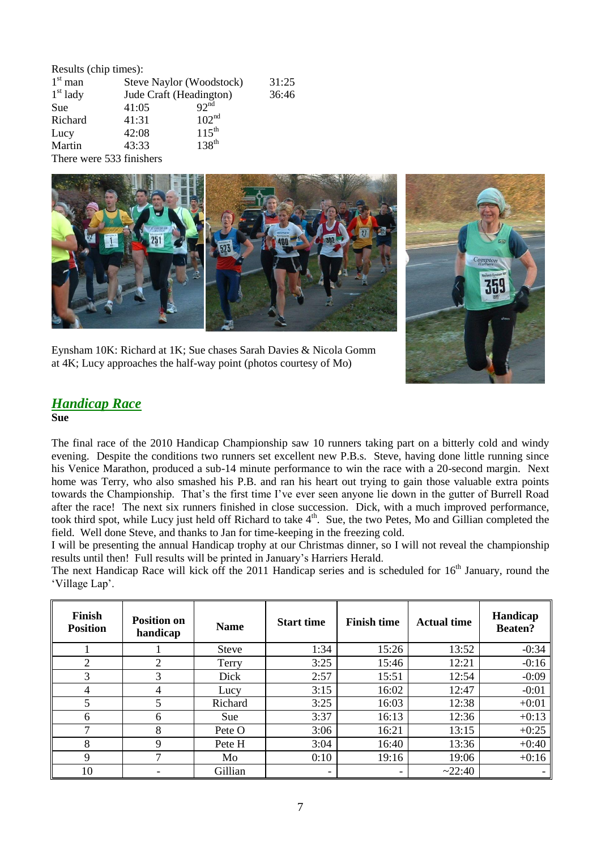| Results (chip times): |                          |                          |       |  |
|-----------------------|--------------------------|--------------------------|-------|--|
| $1st$ man             |                          | Steve Naylor (Woodstock) |       |  |
| $1st$ lady            |                          | Jude Craft (Headington)  | 36:46 |  |
| Sue                   | 41:05                    | $92^{nd}$                |       |  |
| Richard               | 41:31                    | 102 <sup>nd</sup>        |       |  |
| Lucy                  | 42:08                    | $115^{\text{th}}$        |       |  |
| Martin                | 43:33                    | 138 <sup>th</sup>        |       |  |
|                       | There were 533 finishers |                          |       |  |



Eynsham 10K: Richard at 1K; Sue chases Sarah Davies & Nicola Gomm at 4K; Lucy approaches the half-way point (photos courtesy of Mo)

# *Handicap Race*

**Sue**

The final race of the 2010 Handicap Championship saw 10 runners taking part on a bitterly cold and windy evening. Despite the conditions two runners set excellent new P.B.s. Steve, having done little running since his Venice Marathon, produced a sub-14 minute performance to win the race with a 20-second margin. Next home was Terry, who also smashed his P.B. and ran his heart out trying to gain those valuable extra points towards the Championship. That's the first time I've ever seen anyone lie down in the gutter of Burrell Road after the race! The next six runners finished in close succession. Dick, with a much improved performance, took third spot, while Lucy just held off Richard to take 4<sup>th</sup>. Sue, the two Petes, Mo and Gillian completed the field. Well done Steve, and thanks to Jan for time-keeping in the freezing cold.

I will be presenting the annual Handicap trophy at our Christmas dinner, so I will not reveal the championship results until then! Full results will be printed in January"s Harriers Herald.

The next Handicap Race will kick off the 2011 Handicap series and is scheduled for  $16<sup>th</sup>$  January, round the "Village Lap".

| Finish<br><b>Position</b> | <b>Position on</b><br>handicap | <b>Name</b> | <b>Start time</b> | <b>Finish time</b> | <b>Actual time</b> | Handicap<br><b>Beaten?</b> |
|---------------------------|--------------------------------|-------------|-------------------|--------------------|--------------------|----------------------------|
|                           |                                | Steve       | 1:34              | 15:26              | 13:52              | $-0:34$                    |
| $\overline{2}$            | 2                              | Terry       | 3:25              | 15:46              | 12:21              | $-0:16$                    |
| 3                         | 3                              | Dick        | 2:57              | 15:51              | 12:54              | $-0:09$                    |
| 4                         | 4                              | Lucy        | 3:15              | 16:02              | 12:47              | $-0:01$                    |
| 5                         | 5                              | Richard     | 3:25              | 16:03              | 12:38              | $+0:01$                    |
| 6                         | 6                              | <b>Sue</b>  | 3:37              | 16:13              | 12:36              | $+0:13$                    |
|                           | 8                              | Pete O      | 3:06              | 16:21              | 13:15              | $+0:25$                    |
| 8                         | 9                              | Pete H      | 3:04              | 16:40              | 13:36              | $+0:40$                    |
| 9                         | ⇁                              | Mo          | 0:10              | 19:16              | 19:06              | $+0:16$                    |
| 10                        |                                | Gillian     |                   |                    | ~22:40             |                            |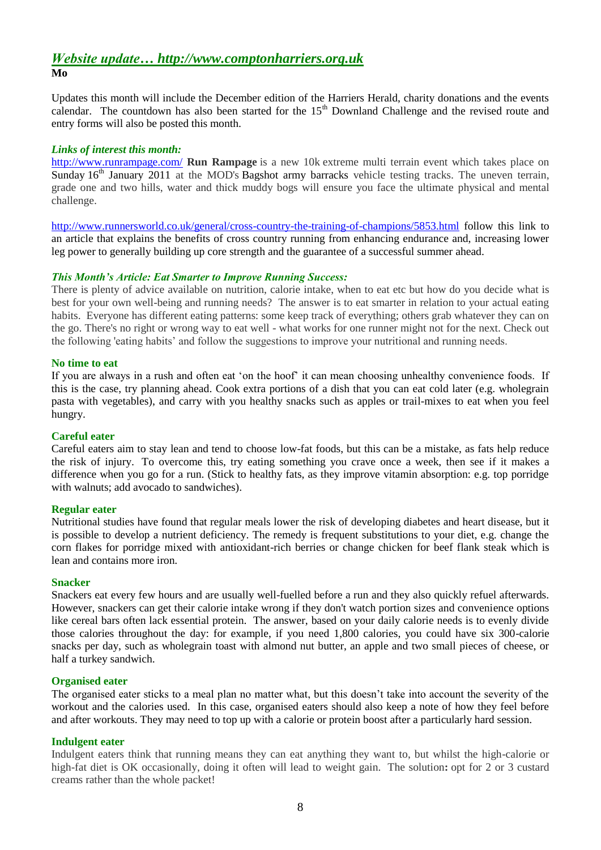### *Website update… http://www.comptonharriers.org.uk* **Mo**

Updates this month will include the December edition of the Harriers Herald, charity donations and the events calendar. The countdown has also been started for the 15<sup>th</sup> Downland Challenge and the revised route and entry forms will also be posted this month.

#### *Links of interest this month:*

<http://www.runrampage.com/> **Run Rampage** is a new 10k extreme multi terrain event which takes place on Sunday  $16<sup>th</sup>$  January 2011 at the MOD's Bagshot army barracks vehicle testing tracks. The uneven terrain, grade one and two hills, water and thick muddy bogs will ensure you face the ultimate physical and mental challenge.

<http://www.runnersworld.co.uk/general/cross-country-the-training-of-champions/5853.html> follow this link to an article that explains the benefits of cross country running from enhancing endurance and, increasing lower leg power to generally building up core strength and the guarantee of a successful summer ahead.

#### *This Month's Article: Eat Smarter to Improve Running Success:*

There is plenty of advice available on nutrition, calorie intake, when to eat etc but how do you decide what is best for your own well-being and running needs? The answer is to eat smarter in relation to your actual eating habits. Everyone has different eating patterns: some keep track of everything; others grab whatever they can on the go. There's no right or wrong way to eat well - what works for one runner might not for the next. Check out the following 'eating habits" and follow the suggestions to improve your nutritional and running needs.

#### **No time to eat**

If you are always in a rush and often eat "on the hoof" it can mean choosing unhealthy convenience foods. If this is the case, try planning ahead. Cook extra portions of a dish that you can eat cold later (e.g. wholegrain pasta with vegetables), and carry with you healthy snacks such as apples or trail-mixes to eat when you feel hungry.

#### **Careful eater**

Careful eaters aim to stay lean and tend to choose low-fat foods, but this can be a mistake, as fats help reduce the risk of injury. To overcome this, try eating something you crave once a week, then see if it makes a difference when you go for a run. (Stick to healthy fats, as they improve vitamin absorption: e.g. top porridge with walnuts; add avocado to sandwiches).

#### **Regular eater**

Nutritional studies have found that regular meals lower the risk of developing diabetes and heart disease, but it is possible to develop a nutrient deficiency. The remedy is frequent substitutions to your diet, e.g. change the corn flakes for porridge mixed with antioxidant-rich berries or change chicken for beef flank steak which is lean and contains more iron.

#### **Snacker**

Snackers eat every few hours and are usually well-fuelled before a run and they also quickly refuel afterwards. However, snackers can get their calorie intake wrong if they don't watch portion sizes and convenience options like cereal bars often lack essential protein. The answer, based on your daily calorie needs is to evenly divide those calories throughout the day: for example, if you need 1,800 calories, you could have six 300-calorie snacks per day, such as wholegrain toast with almond nut butter, an apple and two small pieces of cheese, or half a turkey sandwich.

#### **Organised eater**

The organised eater sticks to a meal plan no matter what, but this doesn't take into account the severity of the workout and the calories used. In this case, organised eaters should also keep a note of how they feel before and after workouts. They may need to top up with a calorie or protein boost after a particularly hard session.

#### **Indulgent eater**

Indulgent eaters think that running means they can eat anything they want to, but whilst the high-calorie or high-fat diet is OK occasionally, doing it often will lead to weight gain. The solution**:** opt for 2 or 3 custard creams rather than the whole packet!